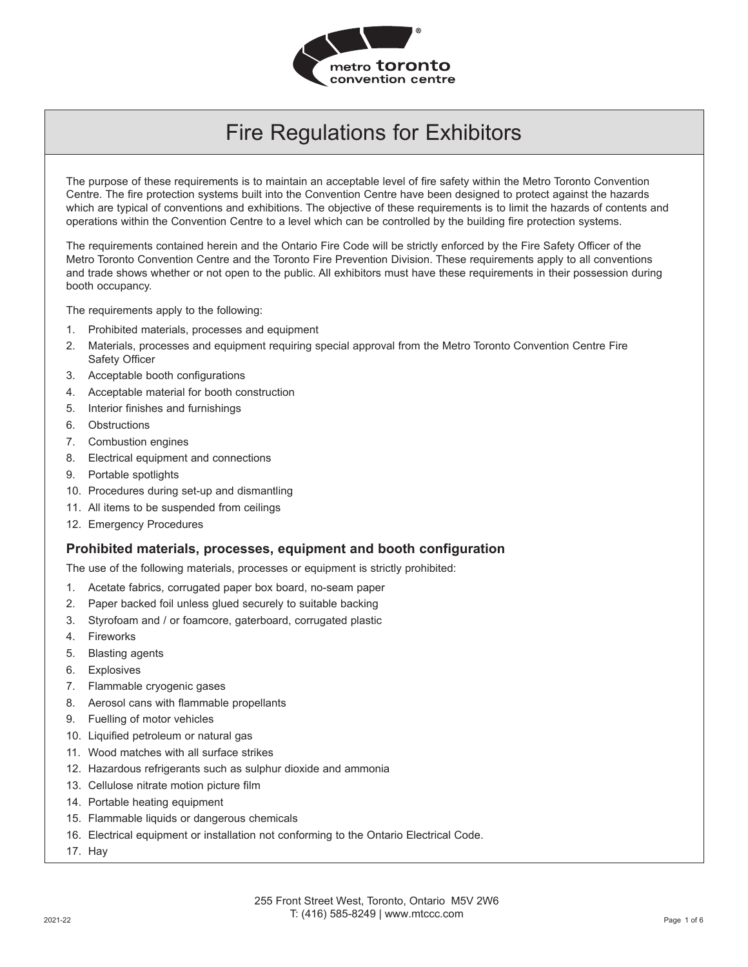

The purpose of these requirements is to maintain an acceptable level of fire safety within the Metro Toronto Convention Centre. The fire protection systems built into the Convention Centre have been designed to protect against the hazards which are typical of conventions and exhibitions. The objective of these requirements is to limit the hazards of contents and operations within the Convention Centre to a level which can be controlled by the building fire protection systems.

The requirements contained herein and the Ontario Fire Code will be strictly enforced by the Fire Safety Officer of the Metro Toronto Convention Centre and the Toronto Fire Prevention Division. These requirements apply to all conventions and trade shows whether or not open to the public. All exhibitors must have these requirements in their possession during booth occupancy.

The requirements apply to the following:

- 1. Prohibited materials, processes and equipment
- 2. Materials, processes and equipment requiring special approval from the Metro Toronto Convention Centre Fire Safety Officer
- 3. Acceptable booth configurations
- 4. Acceptable material for booth construction
- 5. Interior finishes and furnishings
- 6. Obstructions
- 7. Combustion engines
- 8. Electrical equipment and connections
- 9. Portable spotlights
- 10. Procedures during set-up and dismantling
- 11. All items to be suspended from ceilings
- 12. Emergency Procedures

#### **Prohibited materials, processes, equipment and booth configuration**

The use of the following materials, processes or equipment is strictly prohibited:

- 1. Acetate fabrics, corrugated paper box board, no-seam paper
- 2. Paper backed foil unless glued securely to suitable backing
- 3. Styrofoam and / or foamcore, gaterboard, corrugated plastic
- 4. Fireworks
- 5. Blasting agents
- 6. Explosives
- 7. Flammable cryogenic gases
- 8. Aerosol cans with flammable propellants
- 9. Fuelling of motor vehicles
- 10. Liquified petroleum or natural gas
- 11. Wood matches with all surface strikes
- 12. Hazardous refrigerants such as sulphur dioxide and ammonia
- 13. Cellulose nitrate motion picture film
- 14. Portable heating equipment
- 15. Flammable liquids or dangerous chemicals
- 16. Electrical equipment or installation not conforming to the Ontario Electrical Code.
- 17. Hay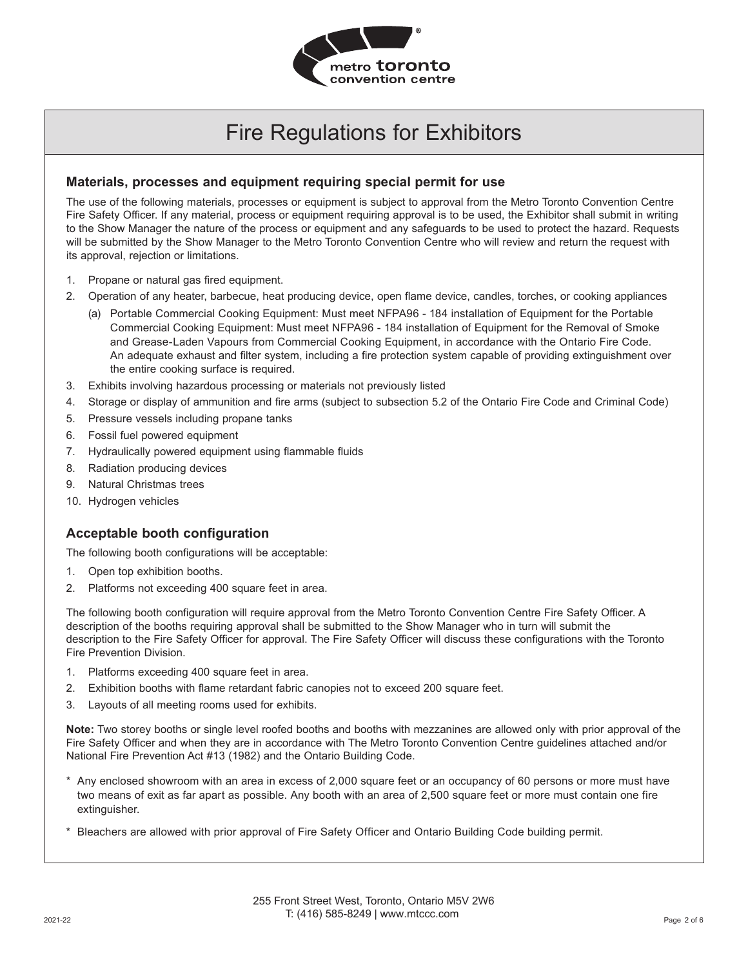

#### **Materials, processes and equipment requiring special permit for use**

The use of the following materials, processes or equipment is subject to approval from the Metro Toronto Convention Centre Fire Safety Officer. If any material, process or equipment requiring approval is to be used, the Exhibitor shall submit in writing to the Show Manager the nature of the process or equipment and any safeguards to be used to protect the hazard. Requests will be submitted by the Show Manager to the Metro Toronto Convention Centre who will review and return the request with its approval, rejection or limitations.

- 1. Propane or natural gas fired equipment.
- 2. Operation of any heater, barbecue, heat producing device, open flame device, candles, torches, or cooking appliances
	- (a) Portable Commercial Cooking Equipment: Must meet NFPA96 184 installation of Equipment for the Portable Commercial Cooking Equipment: Must meet NFPA96 - 184 installation of Equipment for the Removal of Smoke and Grease-Laden Vapours from Commercial Cooking Equipment, in accordance with the Ontario Fire Code. An adequate exhaust and filter system, including a fire protection system capable of providing extinguishment over the entire cooking surface is required.
- 3. Exhibits involving hazardous processing or materials not previously listed
- 4. Storage or display of ammunition and fire arms (subject to subsection 5.2 of the Ontario Fire Code and Criminal Code)
- 5. Pressure vessels including propane tanks
- 6. Fossil fuel powered equipment
- 7. Hydraulically powered equipment using flammable fluids
- 8. Radiation producing devices
- 9. Natural Christmas trees
- 10. Hydrogen vehicles

### **Acceptable booth configuration**

The following booth configurations will be acceptable:

- 1. Open top exhibition booths.
- 2. Platforms not exceeding 400 square feet in area.

The following booth configuration will require approval from the Metro Toronto Convention Centre Fire Safety Officer. A description of the booths requiring approval shall be submitted to the Show Manager who in turn will submit the description to the Fire Safety Officer for approval. The Fire Safety Officer will discuss these configurations with the Toronto Fire Prevention Division.

- 1. Platforms exceeding 400 square feet in area.
- 2. Exhibition booths with flame retardant fabric canopies not to exceed 200 square feet.
- 3. Layouts of all meeting rooms used for exhibits.

**Note:** Two storey booths or single level roofed booths and booths with mezzanines are allowed only with prior approval of the Fire Safety Officer and when they are in accordance with The Metro Toronto Convention Centre guidelines attached and/or National Fire Prevention Act #13 (1982) and the Ontario Building Code.

- \* Any enclosed showroom with an area in excess of 2,000 square feet or an occupancy of 60 persons or more must have two means of exit as far apart as possible. Any booth with an area of 2,500 square feet or more must contain one fire extinguisher.
- \* Bleachers are allowed with prior approval of Fire Safety Officer and Ontario Building Code building permit.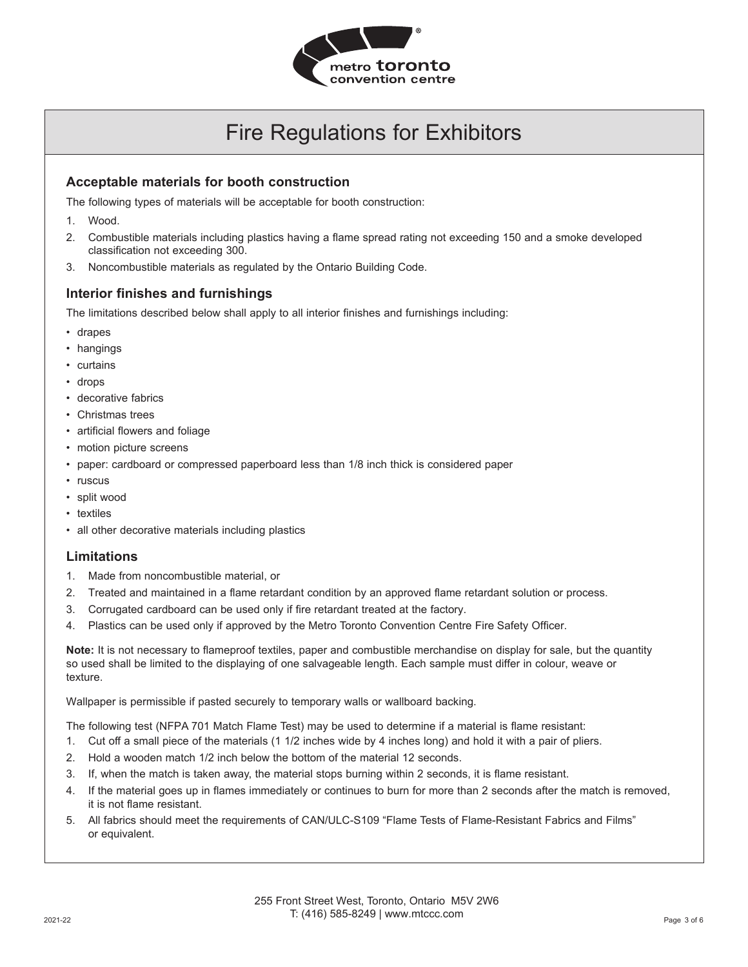

#### **Acceptable materials for booth construction**

The following types of materials will be acceptable for booth construction:

- 1. Wood.
- 2. Combustible materials including plastics having a flame spread rating not exceeding 150 and a smoke developed classification not exceeding 300.
- 3. Noncombustible materials as regulated by the Ontario Building Code.

#### **Interior finishes and furnishings**

The limitations described below shall apply to all interior finishes and furnishings including:

- drapes
- hangings
- curtains
- drops
- decorative fabrics
- Christmas trees
- artificial flowers and foliage
- motion picture screens
- paper: cardboard or compressed paperboard less than 1/8 inch thick is considered paper
- ruscus
- split wood
- textiles
- all other decorative materials including plastics

#### **Limitations**

- 1. Made from noncombustible material, or
- 2. Treated and maintained in a flame retardant condition by an approved flame retardant solution or process.
- 3. Corrugated cardboard can be used only if fire retardant treated at the factory.
- 4. Plastics can be used only if approved by the Metro Toronto Convention Centre Fire Safety Officer.

**Note:** It is not necessary to flameproof textiles, paper and combustible merchandise on display for sale, but the quantity so used shall be limited to the displaying of one salvageable length. Each sample must differ in colour, weave or texture.

Wallpaper is permissible if pasted securely to temporary walls or wallboard backing.

The following test (NFPA 701 Match Flame Test) may be used to determine if a material is flame resistant:

- 1. Cut off a small piece of the materials (1 1/2 inches wide by 4 inches long) and hold it with a pair of pliers.
- 2. Hold a wooden match 1/2 inch below the bottom of the material 12 seconds.
- 3. If, when the match is taken away, the material stops burning within 2 seconds, it is flame resistant.
- 4. If the material goes up in flames immediately or continues to burn for more than 2 seconds after the match is removed, it is not flame resistant.
- 5. All fabrics should meet the requirements of CAN/ULC-S109 "Flame Tests of Flame-Resistant Fabrics and Films" or equivalent.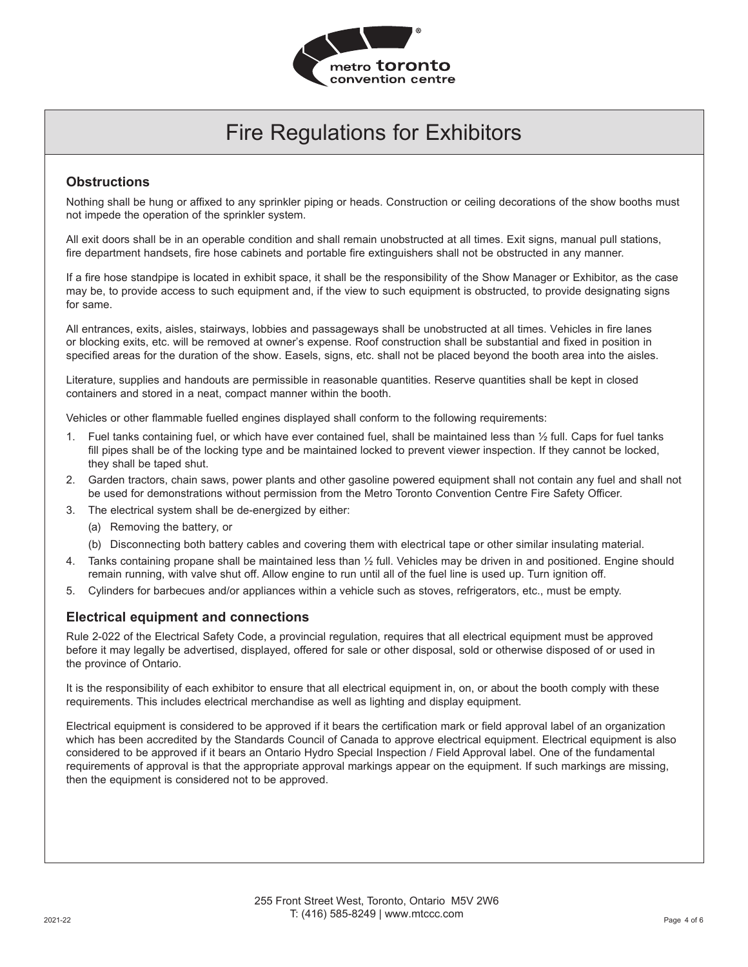

#### **Obstructions**

Nothing shall be hung or affixed to any sprinkler piping or heads. Construction or ceiling decorations of the show booths must not impede the operation of the sprinkler system.

All exit doors shall be in an operable condition and shall remain unobstructed at all times. Exit signs, manual pull stations, fire department handsets, fire hose cabinets and portable fire extinguishers shall not be obstructed in any manner.

If a fire hose standpipe is located in exhibit space, it shall be the responsibility of the Show Manager or Exhibitor, as the case may be, to provide access to such equipment and, if the view to such equipment is obstructed, to provide designating signs for same.

All entrances, exits, aisles, stairways, lobbies and passageways shall be unobstructed at all times. Vehicles in fire lanes or blocking exits, etc. will be removed at owner's expense. Roof construction shall be substantial and fixed in position in specified areas for the duration of the show. Easels, signs, etc. shall not be placed beyond the booth area into the aisles.

Literature, supplies and handouts are permissible in reasonable quantities. Reserve quantities shall be kept in closed containers and stored in a neat, compact manner within the booth.

Vehicles or other flammable fuelled engines displayed shall conform to the following requirements:

- 1. Fuel tanks containing fuel, or which have ever contained fuel, shall be maintained less than ½ full. Caps for fuel tanks fill pipes shall be of the locking type and be maintained locked to prevent viewer inspection. If they cannot be locked, they shall be taped shut.
- 2. Garden tractors, chain saws, power plants and other gasoline powered equipment shall not contain any fuel and shall not be used for demonstrations without permission from the Metro Toronto Convention Centre Fire Safety Officer.
- 3. The electrical system shall be de-energized by either:
	- (a) Removing the battery, or
	- (b) Disconnecting both battery cables and covering them with electrical tape or other similar insulating material.
- 4. Tanks containing propane shall be maintained less than ½ full. Vehicles may be driven in and positioned. Engine should remain running, with valve shut off. Allow engine to run until all of the fuel line is used up. Turn ignition off.
- 5. Cylinders for barbecues and/or appliances within a vehicle such as stoves, refrigerators, etc., must be empty.

#### **Electrical equipment and connections**

Rule 2-022 of the Electrical Safety Code, a provincial regulation, requires that all electrical equipment must be approved before it may legally be advertised, displayed, offered for sale or other disposal, sold or otherwise disposed of or used in the province of Ontario.

It is the responsibility of each exhibitor to ensure that all electrical equipment in, on, or about the booth comply with these requirements. This includes electrical merchandise as well as lighting and display equipment.

Electrical equipment is considered to be approved if it bears the certification mark or field approval label of an organization which has been accredited by the Standards Council of Canada to approve electrical equipment. Electrical equipment is also considered to be approved if it bears an Ontario Hydro Special Inspection / Field Approval label. One of the fundamental requirements of approval is that the appropriate approval markings appear on the equipment. If such markings are missing, then the equipment is considered not to be approved.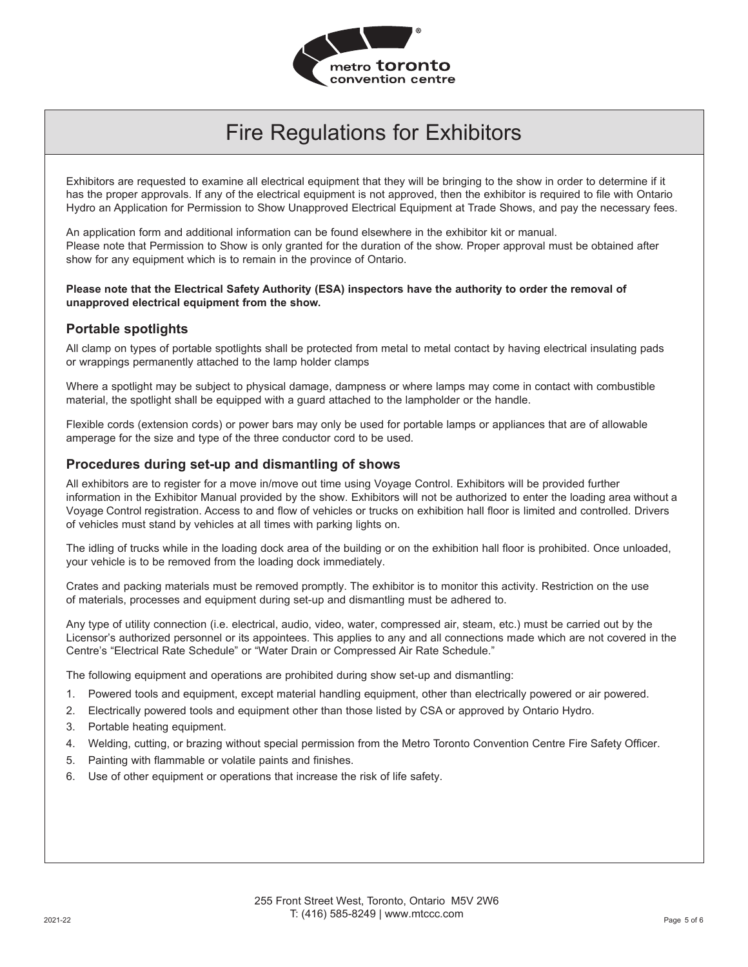

Exhibitors are requested to examine all electrical equipment that they will be bringing to the show in order to determine if it has the proper approvals. If any of the electrical equipment is not approved, then the exhibitor is required to file with Ontario Hydro an Application for Permission to Show Unapproved Electrical Equipment at Trade Shows, and pay the necessary fees.

An application form and additional information can be found elsewhere in the exhibitor kit or manual. Please note that Permission to Show is only granted for the duration of the show. Proper approval must be obtained after show for any equipment which is to remain in the province of Ontario.

#### **Please note that the Electrical Safety Authority (ESA) inspectors have the authority to order the removal of unapproved electrical equipment from the show.**

#### **Portable spotlights**

All clamp on types of portable spotlights shall be protected from metal to metal contact by having electrical insulating pads or wrappings permanently attached to the lamp holder clamps

Where a spotlight may be subject to physical damage, dampness or where lamps may come in contact with combustible material, the spotlight shall be equipped with a guard attached to the lampholder or the handle.

Flexible cords (extension cords) or power bars may only be used for portable lamps or appliances that are of allowable amperage for the size and type of the three conductor cord to be used.

#### **Procedures during set-up and dismantling of shows**

All exhibitors are to register for a move in/move out time using Voyage Control. Exhibitors will be provided further information in the Exhibitor Manual provided by the show. Exhibitors will not be authorized to enter the loading area without a Voyage Control registration. Access to and flow of vehicles or trucks on exhibition hall floor is limited and controlled. Drivers of vehicles must stand by vehicles at all times with parking lights on.

The idling of trucks while in the loading dock area of the building or on the exhibition hall floor is prohibited. Once unloaded, your vehicle is to be removed from the loading dock immediately.

Crates and packing materials must be removed promptly. The exhibitor is to monitor this activity. Restriction on the use of materials, processes and equipment during set-up and dismantling must be adhered to.

Any type of utility connection (i.e. electrical, audio, video, water, compressed air, steam, etc.) must be carried out by the Licensor's authorized personnel or its appointees. This applies to any and all connections made which are not covered in the Centre's "Electrical Rate Schedule" or "Water Drain or Compressed Air Rate Schedule."

The following equipment and operations are prohibited during show set-up and dismantling:

- 1. Powered tools and equipment, except material handling equipment, other than electrically powered or air powered.
- 2. Electrically powered tools and equipment other than those listed by CSA or approved by Ontario Hydro.
- 3. Portable heating equipment.
- 4. Welding, cutting, or brazing without special permission from the Metro Toronto Convention Centre Fire Safety Officer.
- 5. Painting with flammable or volatile paints and finishes.
- 6. Use of other equipment or operations that increase the risk of life safety.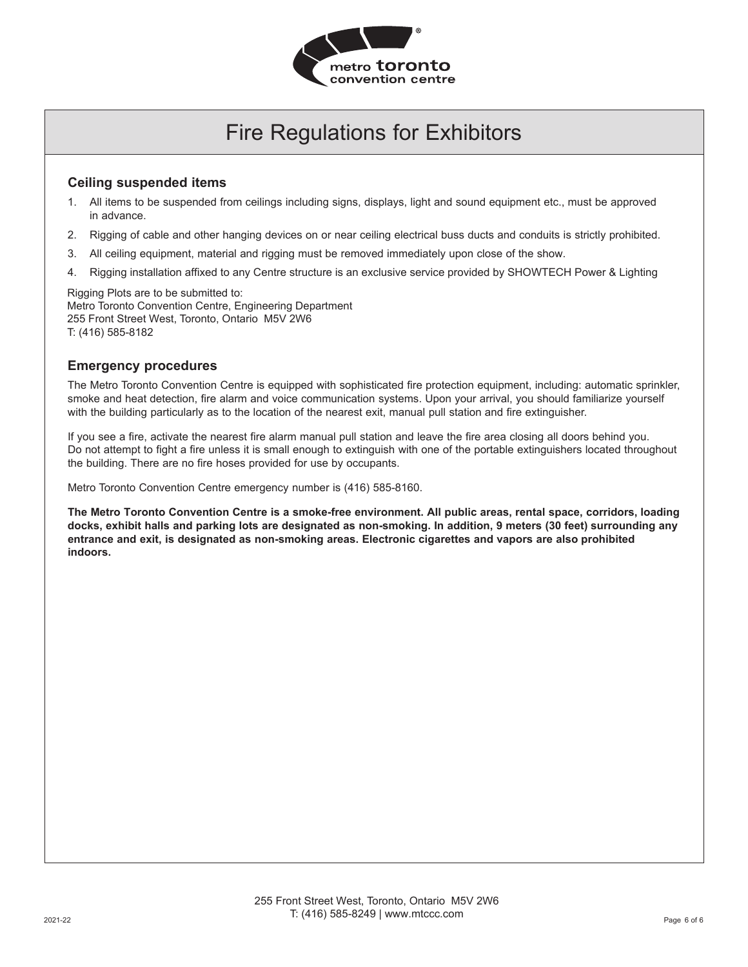

#### **Ceiling suspended items**

- 1. All items to be suspended from ceilings including signs, displays, light and sound equipment etc., must be approved in advance.
- 2. Rigging of cable and other hanging devices on or near ceiling electrical buss ducts and conduits is strictly prohibited.
- 3. All ceiling equipment, material and rigging must be removed immediately upon close of the show.
- 4. Rigging installation affixed to any Centre structure is an exclusive service provided by SHOWTECH Power & Lighting

Rigging Plots are to be submitted to: Metro Toronto Convention Centre, Engineering Department 255 Front Street West, Toronto, Ontario M5V 2W6 T: (416) 585-8182

#### **Emergency procedures**

The Metro Toronto Convention Centre is equipped with sophisticated fire protection equipment, including: automatic sprinkler, smoke and heat detection, fire alarm and voice communication systems. Upon your arrival, you should familiarize yourself with the building particularly as to the location of the nearest exit, manual pull station and fire extinguisher.

If you see a fire, activate the nearest fire alarm manual pull station and leave the fire area closing all doors behind you. Do not attempt to fight a fire unless it is small enough to extinguish with one of the portable extinguishers located throughout the building. There are no fire hoses provided for use by occupants.

Metro Toronto Convention Centre emergency number is (416) 585-8160.

**The Metro Toronto Convention Centre is a smoke-free environment. All public areas, rental space, corridors, loading docks, exhibit halls and parking lots are designated as non-smoking. In addition, 9 meters (30 feet) surrounding any entrance and exit, is designated as non-smoking areas. Electronic cigarettes and vapors are also prohibited indoors.**